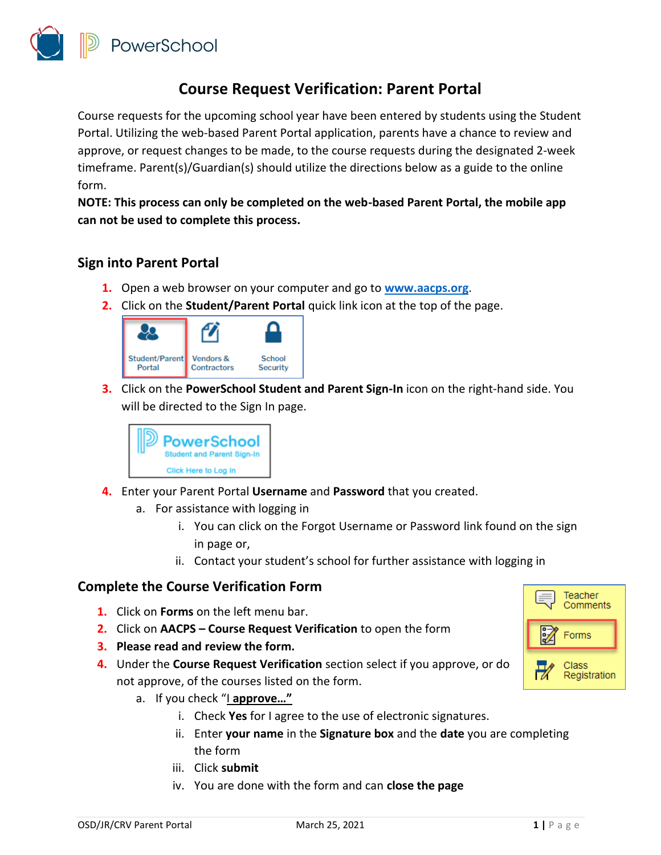

## **Course Request Verification: Parent Portal**

Course requests for the upcoming school year have been entered by students using the Student Portal. Utilizing the web-based Parent Portal application, parents have a chance to review and approve, or request changes to be made, to the course requests during the designated 2-week timeframe. Parent(s)/Guardian(s) should utilize the directions below as a guide to the online form.

**NOTE: This process can only be completed on the web-based Parent Portal, the mobile app can not be used to complete this process.** 

## **Sign into Parent Portal**

- **1.** Open a web browser on your computer and go to **[www.aacps.org](http://www.aacps.org/)**.
- **2.** Click on the **Student/Parent Portal** quick link icon at the top of the page.



**3.** Click on the **PowerSchool Student and Parent Sign-In** icon on the right-hand side. You will be directed to the Sign In page.



- **4.** Enter your Parent Portal **Username** and **Password** that you created.
	- a. For assistance with logging in
		- i. You can click on the Forgot Username or Password link found on the sign in page or,
		- ii. Contact your student's school for further assistance with logging in

## **Complete the Course Verification Form**

- **1.** Click on **Forms** on the left menu bar.
- **2.** Click on **AACPS – Course Request Verification** to open the form
- **3. Please read and review the form.**
- **4.** Under the **Course Request Verification** section select if you approve, or do not approve, of the courses listed on the form.
	- a. If you check "I **approve…"**
		- i. Check **Yes** for I agree to the use of electronic signatures.
		- ii. Enter **your name** in the **Signature box** and the **date** you are completing the form
		- iii. Click **submit**
		- iv. You are done with the form and can **close the page**

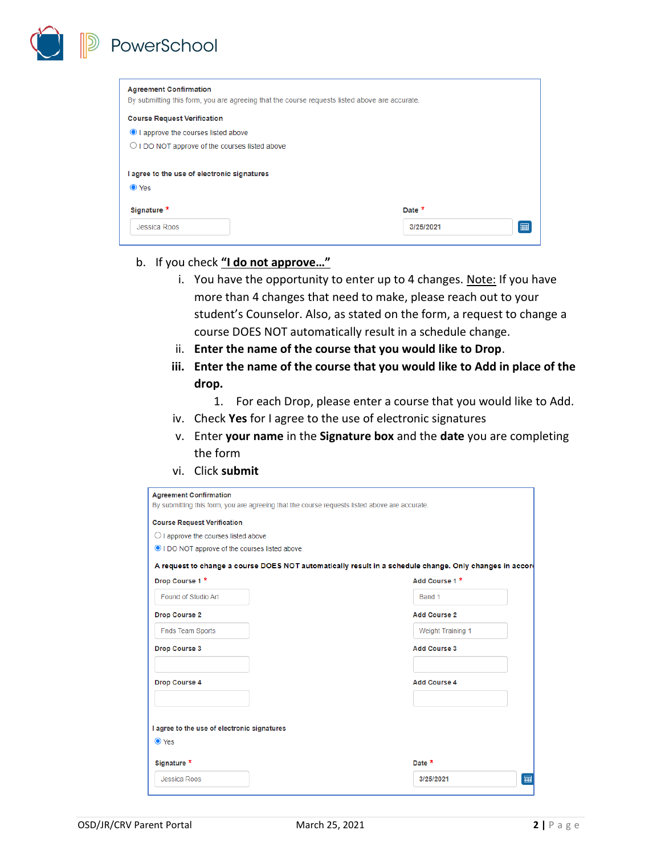**Agreement Confirmation** By submitting this form, you are agreeing that the course requests listed above are accurate. **Course Request Verification** I approve the courses listed above O I DO NOT approve of the courses listed above I agree to the use of electronic signatures ● Yes Signature \* Date \*  $\boxed{m}$ Jessica Roos 3/25/2021

b. If you check **"I do not approve…"**

PowerSchool

- i. You have the opportunity to enter up to 4 changes. Note: If you have more than 4 changes that need to make, please reach out to your student's Counselor. Also, as stated on the form, a request to change a course DOES NOT automatically result in a schedule change.
- ii. **Enter the name of the course that you would like to Drop**.
- **iii. Enter the name of the course that you would like to Add in place of the drop.**
	- 1. For each Drop, please enter a course that you would like to Add.
- iv. Check **Yes** for I agree to the use of electronic signatures
- v. Enter **your name** in the **Signature box** and the **date** you are completing the form
- vi. Click **submit**

| <b>Agreement Confirmation</b>                                                                 |                                                                                                         |
|-----------------------------------------------------------------------------------------------|---------------------------------------------------------------------------------------------------------|
| By submitting this form, you are agreeing that the course requests listed above are accurate. |                                                                                                         |
| <b>Course Request Verification</b>                                                            |                                                                                                         |
| $\bigcirc$ I approve the courses listed above                                                 |                                                                                                         |
| I DO NOT approve of the courses listed above                                                  |                                                                                                         |
|                                                                                               | A request to change a course DOES NOT automatically result in a schedule change. Only changes in accord |
| Drop Course 1 *                                                                               | Add Course 1 *                                                                                          |
| Found of Studio Art                                                                           | Band 1                                                                                                  |
| Drop Course 2                                                                                 | <b>Add Course 2</b>                                                                                     |
| <b>Fnds Team Sports</b>                                                                       | <b>Weight Training 1</b>                                                                                |
| <b>Drop Course 3</b>                                                                          | <b>Add Course 3</b>                                                                                     |
| <b>Drop Course 4</b>                                                                          | <b>Add Course 4</b>                                                                                     |
| I agree to the use of electronic signatures<br>● Yes                                          |                                                                                                         |
| Signature *                                                                                   | Date *                                                                                                  |
| Jessica Roos                                                                                  | ⊞<br>3/25/2021                                                                                          |